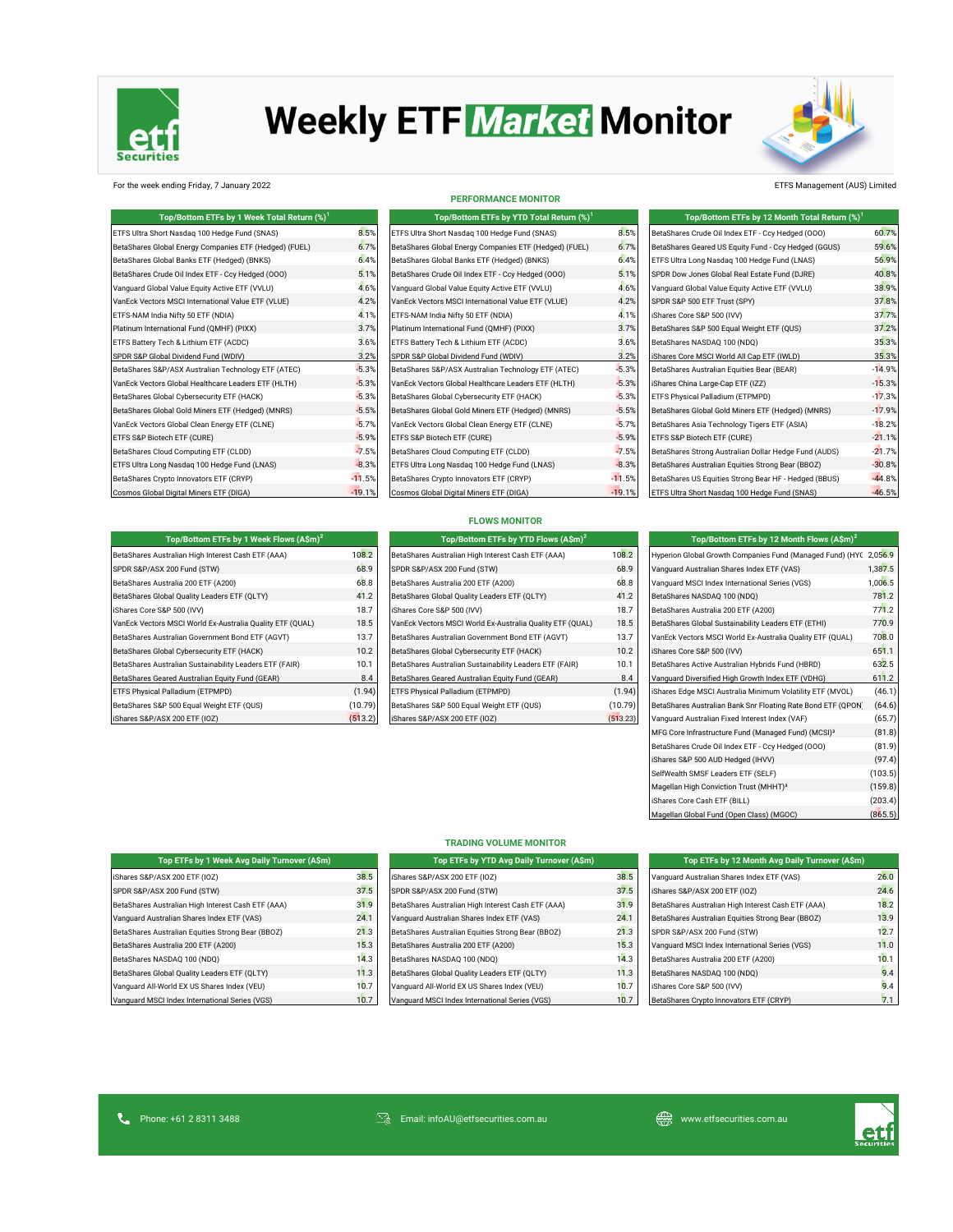

# **Weekly ETF Market Monitor**



For the week ending Friday, 7 January 2022 ETFS Management (AUS) Limited

| Top/Bottom ETFs by 1 Week Total Return (%) <sup>1</sup> |          | Top/Bottom ETFs by YTD Total Return (%) <sup>1</sup>   |          | Top/Bottom ETFs by 12 Month Total Return (%) <sup>1</sup> |          |
|---------------------------------------------------------|----------|--------------------------------------------------------|----------|-----------------------------------------------------------|----------|
| ETFS Ultra Short Nasdaq 100 Hedge Fund (SNAS)           | 8.5%     | ETFS Ultra Short Nasdaq 100 Hedge Fund (SNAS)          | 8.5%     | BetaShares Crude Oil Index ETF - Ccy Hedged (000)         | 60.7%    |
| BetaShares Global Energy Companies ETF (Hedged) (FUEL)  | 6.7%     | BetaShares Global Energy Companies ETF (Hedged) (FUEL) | 6.7%     | BetaShares Geared US Equity Fund - Ccy Hedged (GGUS)      | 59.6%    |
| BetaShares Global Banks ETF (Hedged) (BNKS)             | 6.4%     | BetaShares Global Banks ETF (Hedged) (BNKS)            | 6.4%     | ETFS Ultra Long Nasdaq 100 Hedge Fund (LNAS)              | 56.9%    |
| BetaShares Crude Oil Index ETF - Ccy Hedged (000)       | 5.1%     | BetaShares Crude Oil Index ETF - Ccy Hedged (000)      | 5.1%     | SPDR Dow Jones Global Real Estate Fund (DJRE)             | 40.8%    |
| Vanquard Global Value Equity Active ETF (VVLU)          | 4.6%     | Vanquard Global Value Equity Active ETF (VVLU)         | 4.6%     | Vanquard Global Value Equity Active ETF (VVLU)            | 38.9%    |
| VanEck Vectors MSCI International Value ETF (VLUE)      | 4.2%     | VanEck Vectors MSCI International Value ETF (VLUE)     | 4.2%     | SPDR S&P 500 ETF Trust (SPY)                              | 37.8%    |
| ETFS-NAM India Nifty 50 ETF (NDIA)                      | 4.1%     | ETFS-NAM India Nifty 50 ETF (NDIA)                     | 4.1%     | iShares Core S&P 500 (IVV)                                | 37.7%    |
| Platinum International Fund (QMHF) (PIXX)               | 3.7%     | Platinum International Fund (QMHF) (PIXX)              | 3.7%     | BetaShares S&P 500 Equal Weight ETF (QUS)                 | 37.2%    |
| ETFS Battery Tech & Lithium ETF (ACDC)                  | 3.6%     | ETFS Battery Tech & Lithium ETF (ACDC)                 | 3.6%     | BetaShares NASDAQ 100 (NDQ)                               | 35.3%    |
| SPDR S&P Global Dividend Fund (WDIV)                    | 3.2%     | SPDR S&P Global Dividend Fund (WDIV)                   | 3.2%     | iShares Core MSCI World All Cap ETF (IWLD)                | 35.3%    |
| BetaShares S&P/ASX Australian Technology ETF (ATEC)     | $-5.3%$  | BetaShares S&P/ASX Australian Technology ETF (ATEC)    | $-5.3%$  | BetaShares Australian Equities Bear (BEAR)                | $-14.9%$ |
| VanEck Vectors Global Healthcare Leaders ETF (HLTH)     | $-5.3%$  | VanEck Vectors Global Healthcare Leaders ETF (HLTH)    | $-5.3%$  | iShares China Large-Cap ETF (IZZ)                         | $-15.3%$ |
| BetaShares Global Cybersecurity ETF (HACK)              | $-5.3%$  | BetaShares Global Cybersecurity ETF (HACK)             | $-5.3%$  | ETFS Physical Palladium (ETPMPD)                          | $-17.3%$ |
| BetaShares Global Gold Miners ETF (Hedged) (MNRS)       | $-5.5%$  | BetaShares Global Gold Miners ETF (Hedged) (MNRS)      | $-5.5%$  | BetaShares Global Gold Miners ETF (Hedged) (MNRS)         | $-17.9%$ |
| VanEck Vectors Global Clean Energy ETF (CLNE)           | $-5.7%$  | VanEck Vectors Global Clean Energy ETF (CLNE)          | $-5.7%$  | BetaShares Asia Technology Tigers ETF (ASIA)              | $-18.2%$ |
| ETFS S&P Biotech ETF (CURE)                             | $-5.9%$  | ETFS S&P Biotech ETF (CURE)                            | $-5.9%$  | ETFS S&P Biotech ETF (CURE)                               | $-21.1%$ |
| BetaShares Cloud Computing ETF (CLDD)                   | $-7.5%$  | BetaShares Cloud Computing ETF (CLDD)                  | $-7.5%$  | BetaShares Strong Australian Dollar Hedge Fund (AUDS)     | $-21.7%$ |
| ETFS Ultra Long Nasdaq 100 Hedge Fund (LNAS)            | $-8.3%$  | ETFS Ultra Long Nasdaq 100 Hedge Fund (LNAS)           | $-8.3%$  | BetaShares Australian Equities Strong Bear (BBOZ)         | $-30.8%$ |
| BetaShares Crypto Innovators ETF (CRYP)                 | $-11.5%$ | BetaShares Crypto Innovators ETF (CRYP)                | $-11.5%$ | BetaShares US Equities Strong Bear HF - Hedged (BBUS)     | $-44.8%$ |
| Cosmos Global Digital Miners ETF (DIGA)                 | $-19.1%$ | Cosmos Global Digital Miners ETF (DIGA)                | $-19.1%$ | ETFS Ultra Short Nasdaq 100 Hedge Fund (SNAS)             | $-46.5%$ |

| PERFORMANCE MONITOR                                    |  |
|--------------------------------------------------------|--|
| Top/Bottom ETFs by YTD Total Return (%) <sup>1</sup>   |  |
| ETFS Ultra Short Nasdag 100 Hedge Fund (SNAS)          |  |
| BetaShares Global Energy Companies ETF (Hedged) (FUEL) |  |
| BetaShares Global Banks ETF (Hedged) (BNKS)            |  |
| BetaShares Crude Oil Index ETF - Ccy Hedged (000)      |  |
| Vanquard Global Value Equity Active ETF (VVLU)         |  |
| VanEck Vectors MSCI International Value ETF (VLUE)     |  |
| ETFS-NAM India Nifty 50 ETF (NDIA)                     |  |
| Platinum International Fund (OMHF) (PIXX)              |  |
| ETFS Battery Tech & Lithium ETF (ACDC)                 |  |
| SPDR S&P Global Dividend Fund (WDIV)                   |  |
| BetaShares S&P/ASX Australian Technology ETF (ATEC)    |  |
| VanEck Vectors Global Healthcare Leaders ETF (HLTH)    |  |
| BetaShares Global Cybersecurity ETF (HACK)             |  |
| BetaShares Global Gold Miners ETF (Hedged) (MNRS)      |  |
| VanEck Vectors Global Clean Energy ETF (CLNE)          |  |
| ETFS S&P Biotech ETF (CURE)                            |  |
| BetaShares Cloud Computing ETF (CLDD)                  |  |
| ETFS Ultra Long Nasdag 100 Hedge Fund (LNAS)           |  |
| BetaShares Crypto Innovators ETF (CRYP)                |  |
| Cosmos Global Digital Miners ETF (DIGA)                |  |

| Top/Bottom ETFs by 12 Month Total Return (%) <sup>1</sup> |          |
|-----------------------------------------------------------|----------|
| BetaShares Crude Oil Index ETF - Ccy Hedged (000)         | 60.7%    |
| BetaShares Geared US Equity Fund - Ccy Hedged (GGUS)      | 59.6%    |
| ETFS Ultra Long Nasdag 100 Hedge Fund (LNAS)              | 56.9%    |
| SPDR Dow Jones Global Real Estate Fund (DJRE)             | 40.8%    |
| Vanquard Global Value Equity Active ETF (VVLU)            | 38.9%    |
| SPDR S&P 500 ETF Trust (SPY)                              | 37.8%    |
| iShares Core S&P 500 (IVV)                                | 37.7%    |
| BetaShares S&P 500 Equal Weight ETF (QUS)                 | 37.2%    |
| BetaShares NASDAQ 100 (NDQ)                               | 35.3%    |
| iShares Core MSCI World All Cap ETF (IWLD)                | 35.3%    |
| BetaShares Australian Equities Bear (BEAR)                | $-14.9%$ |
| iShares China Large-Cap ETF (IZZ)                         | $-15.3%$ |
| ETFS Physical Palladium (ETPMPD)                          | $-17.3%$ |
| BetaShares Global Gold Miners ETF (Hedged) (MNRS)         | $-17.9%$ |
| BetaShares Asia Technology Tigers ETF (ASIA)              | $-18.2%$ |
| ETFS S&P Biotech ETF (CURE)                               | $-21.1%$ |
| BetaShares Strong Australian Dollar Hedge Fund (AUDS)     | $-21.7%$ |
| BetaShares Australian Equities Strong Bear (BBOZ)         | $-30.8%$ |
| BetaShares US Equities Strong Bear HF - Hedged (BBUS)     | $-44.8%$ |
| ETFS Ultra Short Nasdag 100 Hedge Fund (SNAS)             | $-46.5%$ |

| Top/Bottom ETFs by 1 Week Flows (A\$m) <sup>2</sup>       |         | Top/Bottom ETFs by YTD Flows (A\$m) <sup>2</sup>          |          | Top/Bottom ETFs by 12 Month Flows $(A \hat{S}m)^2$                |         |
|-----------------------------------------------------------|---------|-----------------------------------------------------------|----------|-------------------------------------------------------------------|---------|
| BetaShares Australian High Interest Cash ETF (AAA)        | 108.2   | BetaShares Australian High Interest Cash ETF (AAA)        | 108.2    | Hyperion Global Growth Companies Fund (Managed Fund) (HYC 2,056.9 |         |
| SPDR S&P/ASX 200 Fund (STW)                               | 68.9    | SPDR S&P/ASX 200 Fund (STW)                               | 68.9     | Vanquard Australian Shares Index ETF (VAS)                        | 1.387.5 |
| BetaShares Australia 200 ETF (A200)                       | 68.8    | BetaShares Australia 200 ETF (A200)                       | 68.8     | Vanguard MSCI Index International Series (VGS)                    | 1,006.5 |
| BetaShares Global Quality Leaders ETF (QLTY)              | 41.2    | BetaShares Global Quality Leaders ETF (QLTY)              | 41.2     | BetaShares NASDAQ 100 (NDQ)                                       | 781.2   |
| iShares Core S&P 500 (IVV)                                | 18.7    | iShares Core S&P 500 (IVV)                                | 18.7     | BetaShares Australia 200 ETF (A200)                               | 771.2   |
| VanEck Vectors MSCI World Ex-Australia Quality ETF (QUAL) | 18.5    | VanEck Vectors MSCI World Ex-Australia Quality ETF (QUAL) | 18.5     | BetaShares Global Sustainability Leaders ETF (ETHI)               | 770.9   |
| BetaShares Australian Government Bond ETF (AGVT)          | 13.7    | BetaShares Australian Government Bond ETF (AGVT)          | 13.7     | VanEck Vectors MSCI World Ex-Australia Quality ETF (QUAL)         | 708.0   |
| BetaShares Global Cybersecurity ETF (HACK)                | 10.2    | BetaShares Global Cybersecurity ETF (HACK)                | 10.2     | iShares Core S&P 500 (IVV)                                        | 651.1   |
| BetaShares Australian Sustainability Leaders ETF (FAIR)   | 10.1    | BetaShares Australian Sustainability Leaders ETF (FAIR)   | 10.1     | BetaShares Active Australian Hybrids Fund (HBRD)                  | 632.5   |
| BetaShares Geared Australian Equity Fund (GEAR)           | 8.4     | BetaShares Geared Australian Equity Fund (GEAR)           | 8.4      | Vanquard Diversified High Growth Index ETF (VDHG)                 | 611.2   |
| ETFS Physical Palladium (ETPMPD)                          | (1.94)  | ETFS Physical Palladium (ETPMPD)                          | (1.94)   | iShares Edge MSCI Australia Minimum Volatility ETF (MVOL)         | (46.1)  |
| BetaShares S&P 500 Equal Weight ETF (QUS)                 | (10.79) | BetaShares S&P 500 Equal Weight ETF (QUS)                 | (10.79)  | BetaShares Australian Bank Snr Floating Rate Bond ETF (QPON)      | (64.6)  |
| iShares S&P/ASX 200 ETF (IOZ)                             | (513.2) | iShares S&P/ASX 200 ETF (IOZ)                             | (513.23) | Vanquard Australian Fixed Interest Index (VAF)                    | (65.7)  |

### **FLOWS MONITOR**

| Top/Bottom ETFs by YTD Flows (A\$m) <sup>2</sup>          |         |
|-----------------------------------------------------------|---------|
| BetaShares Australian High Interest Cash ETF (AAA)        | 108.2   |
| SPDR S&P/ASX 200 Fund (STW)                               | 68.9    |
| BetaShares Australia 200 ETF (A200)                       | 68.8    |
| BetaShares Global Quality Leaders ETF (QLTY)              | 41.2    |
| iShares Core S&P 500 (IVV)                                | 18.7    |
| VanEck Vectors MSCI World Ex-Australia Quality ETF (QUAL) | 18.5    |
| BetaShares Australian Government Bond ETF (AGVT)          | 13.7    |
| BetaShares Global Cybersecurity ETF (HACK)                | 10.2    |
| BetaShares Australian Sustainability Leaders ETF (FAIR)   | 10.7    |
| BetaShares Geared Australian Equity Fund (GEAR)           | 8.4     |
| ETFS Physical Palladium (ETPMPD)                          | (1.94)  |
| BetaShares S&P 500 Equal Weight ETF (QUS)                 | (10.79) |
| iShares S&P/ASX 200 ETF (IOZ)                             | (513.2) |

| Top/Bottom ETFs by 12 Month Flows $(A\sin^2)$                   |         |
|-----------------------------------------------------------------|---------|
| Hyperion Global Growth Companies Fund (Managed Fund) (HYC       | 2,056.9 |
| Vanguard Australian Shares Index ETF (VAS)                      | 1,387.5 |
| Vanquard MSCI Index International Series (VGS)                  | 1,006.5 |
| BetaShares NASDAQ 100 (NDQ)                                     | 781.2   |
| BetaShares Australia 200 ETF (A200)                             | 771.2   |
| BetaShares Global Sustainability Leaders ETF (ETHI)             | 770.9   |
| VanEck Vectors MSCI World Ex-Australia Quality ETF (QUAL)       | 708.0   |
| iShares Core S&P 500 (IVV)                                      | 651.1   |
| BetaShares Active Australian Hybrids Fund (HBRD)                | 632.5   |
| Vanquard Diversified High Growth Index ETF (VDHG)               | 611.2   |
| iShares Edge MSCI Australia Minimum Volatility ETF (MVOL)       | (46.1)  |
| BetaShares Australian Bank Snr Floating Rate Bond ETF (QPON)    | (64.6)  |
| Vanquard Australian Fixed Interest Index (VAF)                  | (65.7)  |
| MFG Core Infrastructure Fund (Managed Fund) (MCSI) <sup>3</sup> | (81.8)  |
| BetaShares Crude Oil Index ETF - Ccy Hedged (000)               | (81.9)  |
| iShares S&P 500 AUD Hedged (IHVV)                               | (97.4)  |
| SelfWealth SMSF Leaders ETF (SELF)                              | (103.5) |
| Magellan High Conviction Trust (MHHT) <sup>3</sup>              | (159.8) |
| iShares Core Cash ETF (BILL)                                    | (203.4) |
| Magellan Global Fund (Open Class) (MGOC)                        | (865.5) |

|  |  | TRADING VOLUME MONITOR |
|--|--|------------------------|
|--|--|------------------------|

| Top ETFs by 1 Week Avg Daily Turnover (A\$m)       |      | Top ETFs by YTD Avg Daily Turnover (A\$m)          |      | Top ETFs by 12 Month Avg Daily Turnover (A\$m)     |      |
|----------------------------------------------------|------|----------------------------------------------------|------|----------------------------------------------------|------|
| iShares S&P/ASX 200 ETF (IOZ)                      | 38.5 | iShares S&P/ASX 200 ETF (IOZ)                      | 38.5 | Vanquard Australian Shares Index ETF (VAS)         | 26.0 |
| SPDR S&P/ASX 200 Fund (STW)                        | 37.5 | SPDR S&P/ASX 200 Fund (STW)                        | 37.5 | iShares S&P/ASX 200 ETF (IOZ)                      | 24.6 |
| BetaShares Australian High Interest Cash ETF (AAA) | 31.9 | BetaShares Australian High Interest Cash ETF (AAA) | 31.9 | BetaShares Australian High Interest Cash ETF (AAA) | 18.2 |
| Vanquard Australian Shares Index ETF (VAS)         | 24.1 | Vanquard Australian Shares Index ETF (VAS)         | 24.7 | BetaShares Australian Equities Strong Bear (BBOZ)  | 13.9 |
| BetaShares Australian Equities Strong Bear (BBOZ)  | 21.3 | BetaShares Australian Equities Strong Bear (BBOZ)  | 21.3 | SPDR S&P/ASX 200 Fund (STW)                        | 12.7 |
| BetaShares Australia 200 ETF (A200)                | 15.3 | BetaShares Australia 200 ETF (A200)                | 15.3 | Vanguard MSCI Index International Series (VGS)     | 11.0 |
| BetaShares NASDAQ 100 (NDQ)                        | 14.3 | BetaShares NASDAQ 100 (NDQ)                        | 14.3 | BetaShares Australia 200 ETF (A200)                | 10.1 |
| BetaShares Global Quality Leaders ETF (QLTY)       | 11.3 | BetaShares Global Quality Leaders ETF (QLTY)       | 11.3 | BetaShares NASDAQ 100 (NDQ)                        | 9.4  |
| Vanquard All-World EX US Shares Index (VEU)        | 10.7 | Vanquard All-World EX US Shares Index (VEU)        | 10.7 | iShares Core S&P 500 (IVV)                         | 9.4  |
| Vanquard MSCI Index International Series (VGS)     | 10.7 | Vanquard MSCI Index International Series (VGS)     | 10.7 | BetaShares Crypto Innovators ETF (CRYP)            |      |